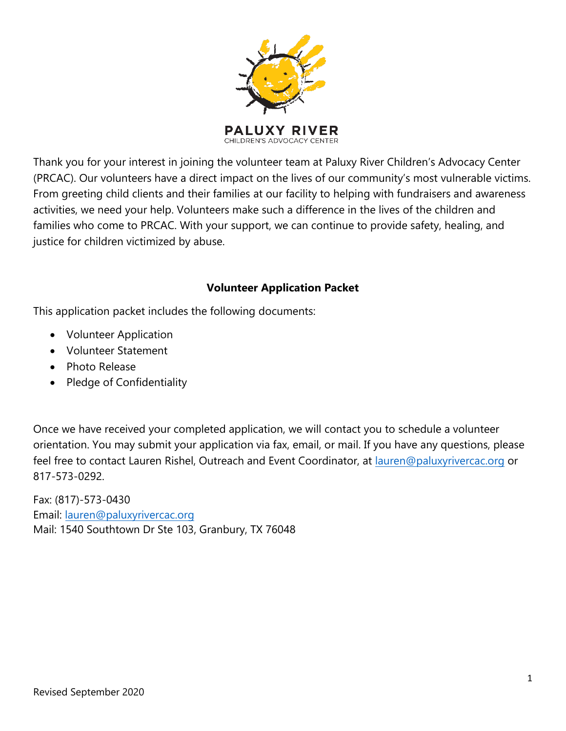

Thank you for your interest in joining the volunteer team at Paluxy River Children's Advocacy Center (PRCAC). Our volunteers have a direct impact on the lives of our community's most vulnerable victims. From greeting child clients and their families at our facility to helping with fundraisers and awareness activities, we need your help. Volunteers make such a difference in the lives of the children and families who come to PRCAC. With your support, we can continue to provide safety, healing, and justice for children victimized by abuse.

#### **Volunteer Application Packet**

This application packet includes the following documents:

- Volunteer Application
- Volunteer Statement
- Photo Release
- Pledge of Confidentiality

Once we have received your completed application, we will contact you to schedule a volunteer orientation. You may submit your application via fax, email, or mail. If you have any questions, please feel free to contact Lauren Rishel, Outreach and Event Coordinator, at lauren[@paluxyrivercac.org](mailto:karli@paluxyrivercac.org) or 817-573-0292.

Fax: (817)-573-0430 Email: lauren[@paluxyrivercac.or](mailto:karli@paluxyrivercac.org)g Mail: 1540 Southtown Dr Ste 103, Granbury, TX 76048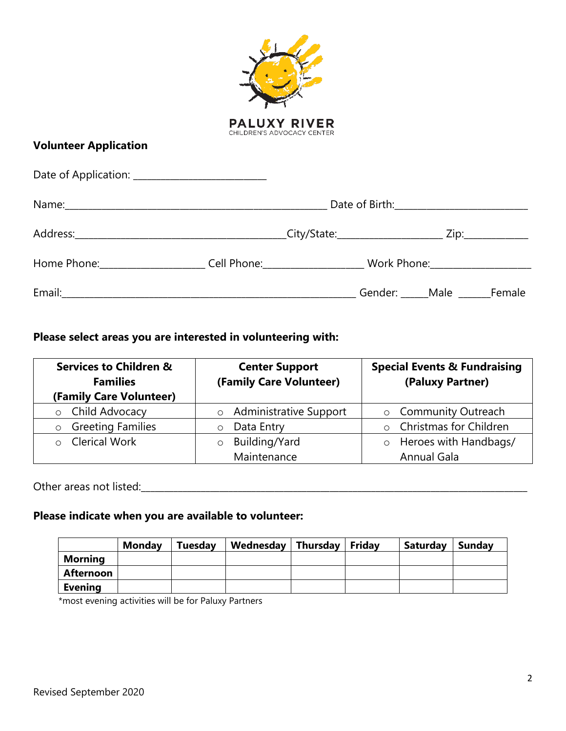| <b>Volunteer Application</b>                                                                              | <b>PALUXY RIVER</b><br>CHILDREN'S ADVOCACY CENTER |                                |  |
|-----------------------------------------------------------------------------------------------------------|---------------------------------------------------|--------------------------------|--|
|                                                                                                           |                                                   |                                |  |
|                                                                                                           |                                                   |                                |  |
|                                                                                                           |                                                   |                                |  |
| Home Phone:__________________________Cell Phone:__________________________Work Phone:____________________ |                                                   |                                |  |
|                                                                                                           |                                                   | Gender: _____Male ______Female |  |

### **Please select areas you are interested in volunteering with:**

| <b>Services to Children &amp;</b><br><b>Families</b><br>(Family Care Volunteer) | <b>Center Support</b><br>(Family Care Volunteer) | <b>Special Events &amp; Fundraising</b><br>(Paluxy Partner) |
|---------------------------------------------------------------------------------|--------------------------------------------------|-------------------------------------------------------------|
| o Child Advocacy                                                                | <b>Administrative Support</b><br>$\circ$         | o Community Outreach                                        |
| <b>Greeting Families</b><br>$\circ$                                             | Data Entry                                       | <b>Christmas for Children</b><br>$\circ$                    |
| <b>Clerical Work</b><br>$\cap$                                                  | Building/Yard<br>$\circ$                         | Heroes with Handbags/                                       |
|                                                                                 | Maintenance                                      | <b>Annual Gala</b>                                          |

Other areas not listed:\_\_\_\_\_\_\_\_\_\_\_\_\_\_\_\_\_\_\_\_\_\_\_\_\_\_\_\_\_\_\_\_\_\_\_\_\_\_\_\_\_\_\_\_\_\_\_\_\_\_\_\_\_\_\_\_\_\_\_\_\_\_\_\_\_\_\_\_\_\_\_\_\_\_\_\_\_\_\_\_\_\_\_\_

### **Please indicate when you are available to volunteer:**

|                | Monday | <b>Tuesday</b> | Wednesday | Thursday | Friday | Saturday | Sunday |
|----------------|--------|----------------|-----------|----------|--------|----------|--------|
| <b>Morning</b> |        |                |           |          |        |          |        |
| Afternoon      |        |                |           |          |        |          |        |
| <b>Evening</b> |        |                |           |          |        |          |        |

\*most evening activities will be for Paluxy Partners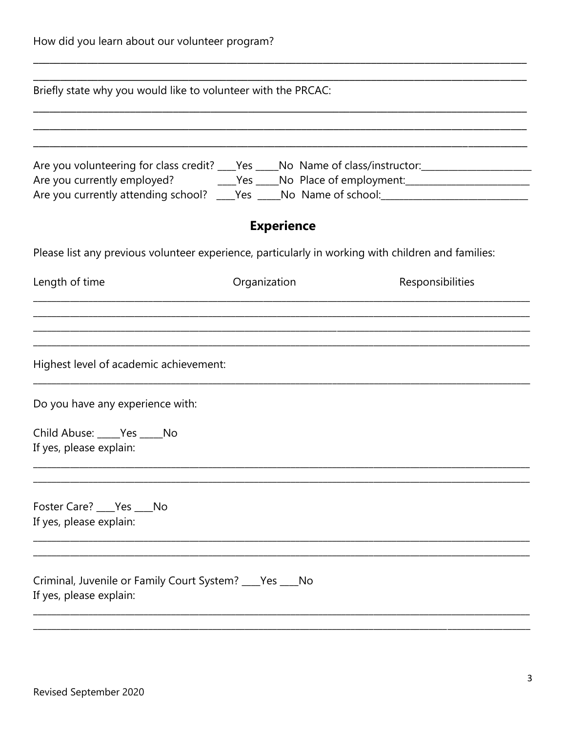|  |  | How did you learn about our volunteer program? |  |
|--|--|------------------------------------------------|--|
|--|--|------------------------------------------------|--|

| Briefly state why you would like to volunteer with the PRCAC:                                       |                   |                  |
|-----------------------------------------------------------------------------------------------------|-------------------|------------------|
|                                                                                                     |                   |                  |
| Are you volunteering for class credit? ___Yes ____No Name of class/instructor: ____________________ |                   |                  |
| Are you currently attending school? ____Yes _____No Name of school: _______________________________ |                   |                  |
|                                                                                                     | <b>Experience</b> |                  |
| Please list any previous volunteer experience, particularly in working with children and families:  |                   |                  |
| Length of time                                                                                      | Organization      | Responsibilities |
|                                                                                                     |                   |                  |
|                                                                                                     |                   |                  |
| Highest level of academic achievement:                                                              |                   |                  |
| Do you have any experience with:                                                                    |                   |                  |
| Child Abuse: Ves No                                                                                 |                   |                  |
| If yes, please explain:                                                                             |                   |                  |
|                                                                                                     |                   |                  |
| Foster Care? Pes No                                                                                 |                   |                  |
|                                                                                                     |                   |                  |
|                                                                                                     |                   |                  |
| If yes, please explain:<br>Criminal, Juvenile or Family Court System? ____ Yes ____ No              |                   |                  |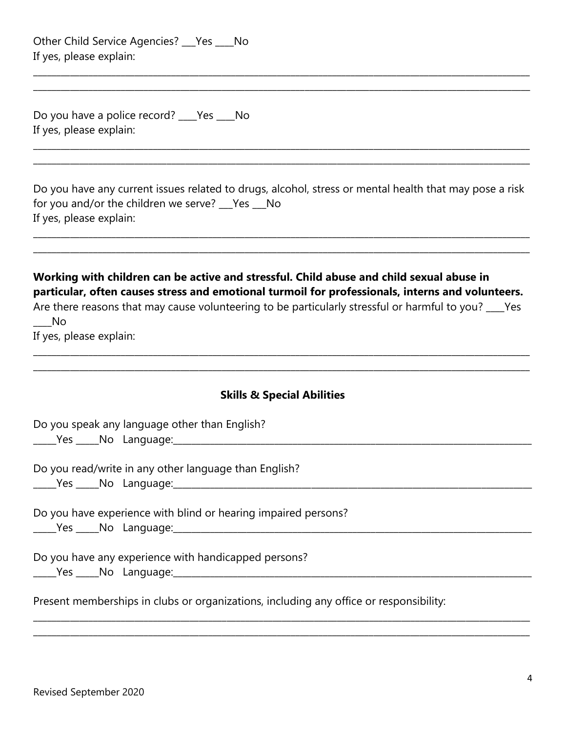| Other Child Service Agencies? ___ Yes ____ No |  |
|-----------------------------------------------|--|
| If yes, please explain:                       |  |

Do you have a police record? \_\_\_\_Yes \_\_\_\_No If yes, please explain:

| Do you have any current issues related to drugs, alcohol, stress or mental health that may pose a risk |
|--------------------------------------------------------------------------------------------------------|
| for you and/or the children we serve? Pes No                                                           |
| If yes, please explain:                                                                                |

\_\_\_\_\_\_\_\_\_\_\_\_\_\_\_\_\_\_\_\_\_\_\_\_\_\_\_\_\_\_\_\_\_\_\_\_\_\_\_\_\_\_\_\_\_\_\_\_\_\_\_\_\_\_\_\_\_\_\_\_\_\_\_\_\_\_\_\_\_\_\_\_\_\_\_\_\_\_\_\_\_\_\_\_\_\_\_\_\_\_\_\_\_\_\_\_\_\_\_\_\_\_\_\_\_\_\_\_ \_\_\_\_\_\_\_\_\_\_\_\_\_\_\_\_\_\_\_\_\_\_\_\_\_\_\_\_\_\_\_\_\_\_\_\_\_\_\_\_\_\_\_\_\_\_\_\_\_\_\_\_\_\_\_\_\_\_\_\_\_\_\_\_\_\_\_\_\_\_\_\_\_\_\_\_\_\_\_\_\_\_\_\_\_\_\_\_\_\_\_\_\_\_\_\_\_\_\_\_\_\_\_\_\_\_\_\_

\_\_\_\_\_\_\_\_\_\_\_\_\_\_\_\_\_\_\_\_\_\_\_\_\_\_\_\_\_\_\_\_\_\_\_\_\_\_\_\_\_\_\_\_\_\_\_\_\_\_\_\_\_\_\_\_\_\_\_\_\_\_\_\_\_\_\_\_\_\_\_\_\_\_\_\_\_\_\_\_\_\_\_\_\_\_\_\_\_\_\_\_\_\_\_\_\_\_\_\_\_\_\_\_\_\_\_\_ \_\_\_\_\_\_\_\_\_\_\_\_\_\_\_\_\_\_\_\_\_\_\_\_\_\_\_\_\_\_\_\_\_\_\_\_\_\_\_\_\_\_\_\_\_\_\_\_\_\_\_\_\_\_\_\_\_\_\_\_\_\_\_\_\_\_\_\_\_\_\_\_\_\_\_\_\_\_\_\_\_\_\_\_\_\_\_\_\_\_\_\_\_\_\_\_\_\_\_\_\_\_\_\_\_\_\_\_

\_\_\_\_\_\_\_\_\_\_\_\_\_\_\_\_\_\_\_\_\_\_\_\_\_\_\_\_\_\_\_\_\_\_\_\_\_\_\_\_\_\_\_\_\_\_\_\_\_\_\_\_\_\_\_\_\_\_\_\_\_\_\_\_\_\_\_\_\_\_\_\_\_\_\_\_\_\_\_\_\_\_\_\_\_\_\_\_\_\_\_\_\_\_\_\_\_\_\_\_\_\_\_\_\_\_\_\_ \_\_\_\_\_\_\_\_\_\_\_\_\_\_\_\_\_\_\_\_\_\_\_\_\_\_\_\_\_\_\_\_\_\_\_\_\_\_\_\_\_\_\_\_\_\_\_\_\_\_\_\_\_\_\_\_\_\_\_\_\_\_\_\_\_\_\_\_\_\_\_\_\_\_\_\_\_\_\_\_\_\_\_\_\_\_\_\_\_\_\_\_\_\_\_\_\_\_\_\_\_\_\_\_\_\_\_\_

|  | Working with children can be active and stressful. Child abuse and child sexual abuse in         |  |  |  |  |  |  |
|--|--------------------------------------------------------------------------------------------------|--|--|--|--|--|--|
|  | particular, often causes stress and emotional turmoil for professionals, interns and volunteers. |  |  |  |  |  |  |
|  |                                                                                                  |  |  |  |  |  |  |

|             | Are there reasons that may cause volunteering to be particularly stressful or harmful to you? ___ Yes |  |  |
|-------------|-------------------------------------------------------------------------------------------------------|--|--|
| $\equiv$ No |                                                                                                       |  |  |
| $ -$        |                                                                                                       |  |  |

\_\_\_\_\_\_\_\_\_\_\_\_\_\_\_\_\_\_\_\_\_\_\_\_\_\_\_\_\_\_\_\_\_\_\_\_\_\_\_\_\_\_\_\_\_\_\_\_\_\_\_\_\_\_\_\_\_\_\_\_\_\_\_\_\_\_\_\_\_\_\_\_\_\_\_\_\_\_\_\_\_\_\_\_\_\_\_\_\_\_\_\_\_\_\_\_\_\_\_\_\_\_\_\_\_\_\_\_ \_\_\_\_\_\_\_\_\_\_\_\_\_\_\_\_\_\_\_\_\_\_\_\_\_\_\_\_\_\_\_\_\_\_\_\_\_\_\_\_\_\_\_\_\_\_\_\_\_\_\_\_\_\_\_\_\_\_\_\_\_\_\_\_\_\_\_\_\_\_\_\_\_\_\_\_\_\_\_\_\_\_\_\_\_\_\_\_\_\_\_\_\_\_\_\_\_\_\_\_\_\_\_\_\_\_\_\_

If yes, please explain:

| <b>Skills &amp; Special Abilities</b>                                                  |
|----------------------------------------------------------------------------------------|
| Do you speak any language other than English?                                          |
| Do you read/write in any other language than English?                                  |
| Do you have experience with blind or hearing impaired persons?                         |
| Do you have any experience with handicapped persons?                                   |
| Present memberships in clubs or organizations, including any office or responsibility: |

\_\_\_\_\_\_\_\_\_\_\_\_\_\_\_\_\_\_\_\_\_\_\_\_\_\_\_\_\_\_\_\_\_\_\_\_\_\_\_\_\_\_\_\_\_\_\_\_\_\_\_\_\_\_\_\_\_\_\_\_\_\_\_\_\_\_\_\_\_\_\_\_\_\_\_\_\_\_\_\_\_\_\_\_\_\_\_\_\_\_\_\_\_\_\_\_\_\_\_\_\_\_\_\_\_\_\_\_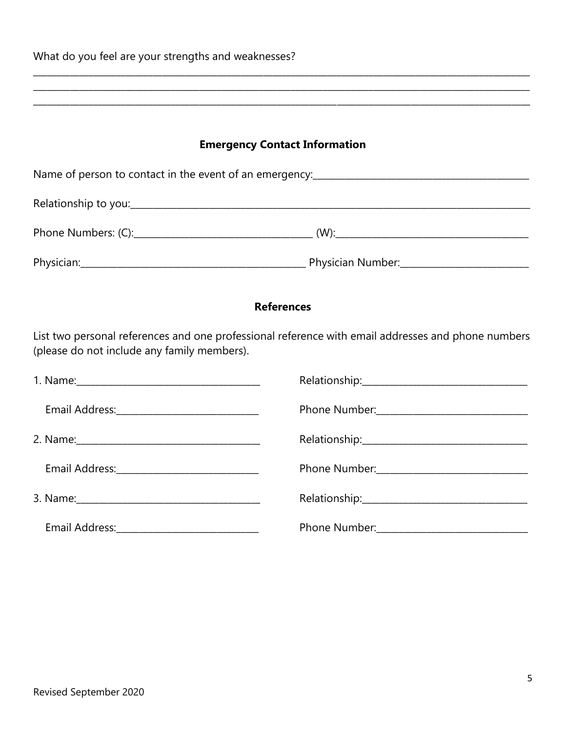| What do you feel are your strengths and weaknesses? |                                                                                                    |
|-----------------------------------------------------|----------------------------------------------------------------------------------------------------|
|                                                     | ,我们也不能在这里的人,我们也不能在这里的人,我们也不能在这里的人,我们也不能在这里的人,我们也不能在这里的人,我们也不能在这里的人,我们也不能在这里的人,我们也                  |
|                                                     |                                                                                                    |
|                                                     | <b>Emergency Contact Information</b>                                                               |
|                                                     |                                                                                                    |
|                                                     |                                                                                                    |
|                                                     |                                                                                                    |
|                                                     |                                                                                                    |
|                                                     | <b>References</b>                                                                                  |
| (please do not include any family members).         | List two personal references and one professional reference with email addresses and phone numbers |
|                                                     |                                                                                                    |
|                                                     |                                                                                                    |
|                                                     |                                                                                                    |
|                                                     |                                                                                                    |
|                                                     |                                                                                                    |
|                                                     |                                                                                                    |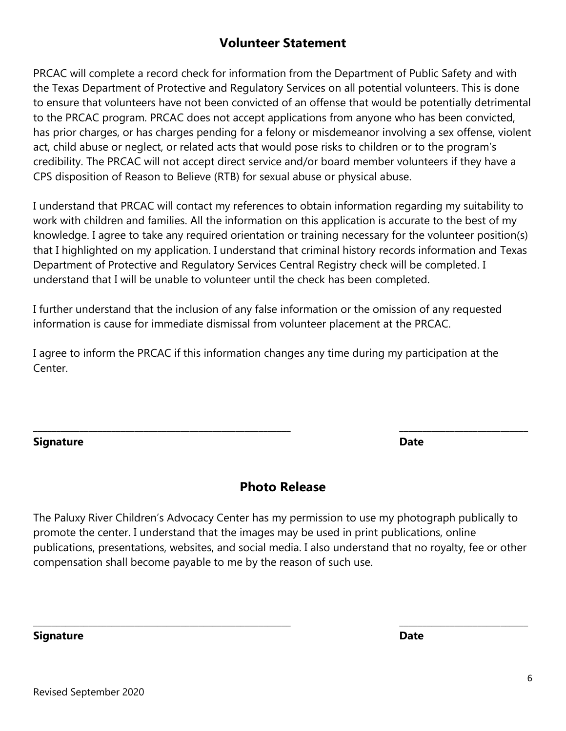## **Volunteer Statement**

PRCAC will complete a record check for information from the Department of Public Safety and with the Texas Department of Protective and Regulatory Services on all potential volunteers. This is done to ensure that volunteers have not been convicted of an offense that would be potentially detrimental to the PRCAC program. PRCAC does not accept applications from anyone who has been convicted, has prior charges, or has charges pending for a felony or misdemeanor involving a sex offense, violent act, child abuse or neglect, or related acts that would pose risks to children or to the program's credibility. The PRCAC will not accept direct service and/or board member volunteers if they have a CPS disposition of Reason to Believe (RTB) for sexual abuse or physical abuse.

I understand that PRCAC will contact my references to obtain information regarding my suitability to work with children and families. All the information on this application is accurate to the best of my knowledge. I agree to take any required orientation or training necessary for the volunteer position(s) that I highlighted on my application. I understand that criminal history records information and Texas Department of Protective and Regulatory Services Central Registry check will be completed. I understand that I will be unable to volunteer until the check has been completed.

I further understand that the inclusion of any false information or the omission of any requested information is cause for immediate dismissal from volunteer placement at the PRCAC.

I agree to inform the PRCAC if this information changes any time during my participation at the Center.

**Signature Date**

### **Photo Release**

\_\_\_\_\_\_\_\_\_\_\_\_\_\_\_\_\_\_\_\_\_\_\_\_\_\_\_\_\_\_\_\_\_\_\_\_\_\_\_\_\_\_\_\_\_\_\_\_\_\_\_\_\_\_\_\_ \_\_\_\_\_\_\_\_\_\_\_\_\_\_\_\_\_\_\_\_\_\_\_\_\_\_\_\_

The Paluxy River Children's Advocacy Center has my permission to use my photograph publically to promote the center. I understand that the images may be used in print publications, online publications, presentations, websites, and social media. I also understand that no royalty, fee or other compensation shall become payable to me by the reason of such use.

\_\_\_\_\_\_\_\_\_\_\_\_\_\_\_\_\_\_\_\_\_\_\_\_\_\_\_\_\_\_\_\_\_\_\_\_\_\_\_\_\_\_\_\_\_\_\_\_\_\_\_\_\_\_\_\_ \_\_\_\_\_\_\_\_\_\_\_\_\_\_\_\_\_\_\_\_\_\_\_\_\_\_\_\_

**Signature Date**